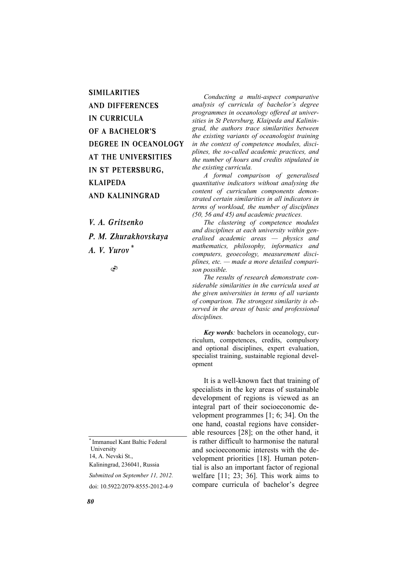**SIMILARITIES** AND DIFFERENCES IN CURRICULA OF A BACHELOR'S DEGREE IN OCEANOLOGY AT THE UNIVERSITIES IN ST PETERSBURG, KLAIPEDA AND KALININGRAD

*V. A. Gritsenko P. M. Zhurakhovskaya* 

*A. V. Yurov \**

S

\* Immanuel Kant Baltic Federal University 14, A. Nevski St., Kaliningrad, 236041, Russia

*Submitted on September 11, 2012.* 

doi: 10.5922/2079-8555-2012-4-9

*Conducting a multi-aspect comparative analysis of curricula of bachelor's degree programmes in oceanology offered at universities in St Petersburg, Klaipeda and Kaliningrad, the authors trace similarities between the existing variants of oceanologist training in the context of competence modules, disciplines, the so-called academic practices, and the number of hours and credits stipulated in the existing curricula.* 

*A formal comparison of generalised quantitative indicators without analysing the content of curriculum components demonstrated certain similarities in all indicators in terms of workload, the number of disciplines (50, 56 and 45) and academic practices.* 

*The clustering of competence modules and disciplines at each university within generalised academic areas — physics and mathematics, philosophy, informatics and computers, geoecology, measurement disciplines, etc. — made a more detailed comparison possible.* 

*The results of research demonstrate considerable similarities in the curricula used at the given universities in terms of all variants of comparison. The strongest similarity is observed in the areas of basic and professional disciplines.* 

*Key words:* bachelors in oceanology, curriculum, competences, credits, compulsory and optional disciplines, expert evaluation, specialist training, sustainable regional development

It is a well-known fact that training of specialists in the key areas of sustainable development of regions is viewed as an integral part of their socioeconomic development programmes [1; 6; 34]. On the one hand, coastal regions have considerable resources [28]; on the other hand, it is rather difficult to harmonise the natural and socioeconomic interests with the development priorities [18]. Human potential is also an important factor of regional welfare [11; 23; 36]. This work aims to compare curricula of bachelor's degree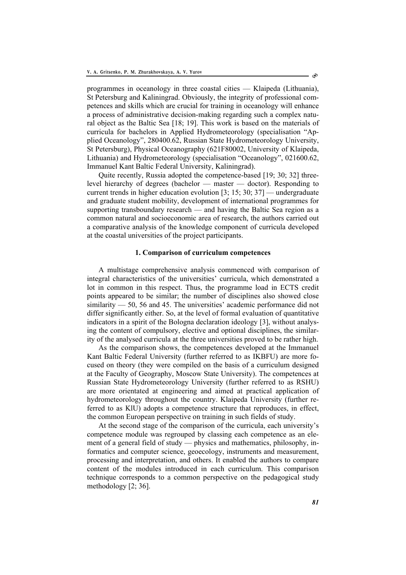programmes in oceanology in three coastal cities — Klaipeda (Lithuania), St Petersburg and Kaliningrad. Obviously, the integrity of professional competences and skills which are crucial for training in oceanology will enhance a process of administrative decision-making regarding such a complex natural object as the Baltic Sea [18; 19]. This work is based on the materials of curricula for bachelors in Applied Hydrometeorology (specialisation "Applied Oceanology", 280400.62, Russian State Hydrometeorology University, St Petersburg), Physical Oceanography (621F80002, University of Klaipeda, Lithuania) and Hydrometeorology (specialisation "Oceanology", 021600.62, Immanuel Kant Baltic Federal University, Kaliningrad).

Quite recently, Russia adopted the competence-based [19; 30; 32] threelevel hierarchy of degrees (bachelor — master — doctor). Responding to current trends in higher education evolution [3; 15; 30; 37] — undergraduate and graduate student mobility, development of international programmes for supporting transboundary research — and having the Baltic Sea region as a common natural and socioeconomic area of research, the authors carried out a comparative analysis of the knowledge component of curricula developed at the coastal universities of the project participants.

## **1. Comparison of curriculum competences**

A multistage comprehensive analysis commenced with comparison of integral characteristics of the universities' curricula, which demonstrated a lot in common in this respect. Thus, the programme load in ECTS credit points appeared to be similar; the number of disciplines also showed close similarity — 50, 56 and 45. The universities' academic performance did not differ significantly either. So, at the level of formal evaluation of quantitative indicators in a spirit of the Bologna declaration ideology [3], without analysing the content of compulsory, elective and optional disciplines, the similarity of the analysed curricula at the three universities proved to be rather high.

As the comparison shows, the competences developed at the Immanuel Kant Baltic Federal University (further referred to as IKBFU) are more focused on theory (they were compiled on the basis of a curriculum designed at the Faculty of Geography, Moscow State University). The competences at Russian State Hydrometeorology University (further referred to as RSHU) are more orientated at engineering and aimed at practical application of hydrometeorology throughout the country. Klaipeda University (further referred to as KlU) adopts a competence structure that reproduces, in effect, the common European perspective on training in such fields of study.

At the second stage of the comparison of the curricula, each university's competence module was regrouped by classing each competence as an element of a general field of study — physics and mathematics, philosophy, informatics and computer science, geoecology, instruments and measurement, processing and interpretation, and others. It enabled the authors to compare content of the modules introduced in each curriculum. This comparison technique corresponds to a common perspective on the pedagogical study methodology [2; 36].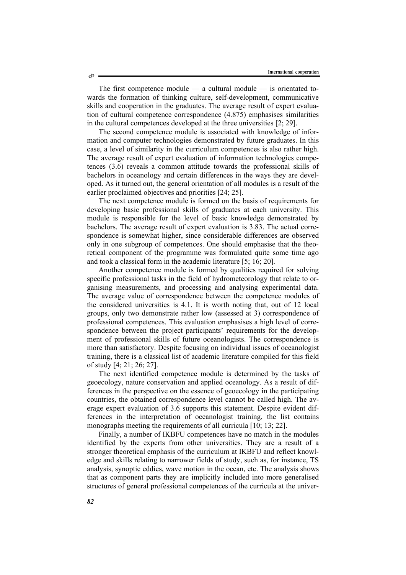The first competence module — a cultural module — is orientated towards the formation of thinking culture, self-development, communicative skills and cooperation in the graduates. The average result of expert evaluation of cultural competence correspondence (4.875) emphasises similarities in the cultural competences developed at the three universities [2; 29].

The second competence module is associated with knowledge of information and computer technologies demonstrated by future graduates. In this case, a level of similarity in the curriculum competences is also rather high. The average result of expert evaluation of information technologies competences (3.6) reveals a common attitude towards the professional skills of bachelors in oceanology and certain differences in the ways they are developed. As it turned out, the general orientation of all modules is a result of the earlier proclaimed objectives and priorities [24; 25].

The next competence module is formed on the basis of requirements for developing basic professional skills of graduates at each university. This module is responsible for the level of basic knowledge demonstrated by bachelors. The average result of expert evaluation is 3.83. The actual correspondence is somewhat higher, since considerable differences are observed only in one subgroup of competences. One should emphasise that the theoretical component of the programme was formulated quite some time ago and took a classical form in the academic literature [5; 16; 20].

Another competence module is formed by qualities required for solving specific professional tasks in the field of hydrometeorology that relate to organising measurements, and processing and analysing experimental data. The average value of correspondence between the competence modules of the considered universities is 4.1. It is worth noting that, out of 12 local groups, only two demonstrate rather low (assessed at 3) correspondence of professional competences. This evaluation emphasises a high level of correspondence between the project participants' requirements for the development of professional skills of future oceanologists. The correspondence is more than satisfactory. Despite focusing on individual issues of oceanologist training, there is a classical list of academic literature compiled for this field of study [4; 21; 26; 27].

The next identified competence module is determined by the tasks of geoecology, nature conservation and applied oceanology. As a result of differences in the perspective on the essence of geoecology in the participating countries, the obtained correspondence level cannot be called high. The average expert evaluation of 3.6 supports this statement. Despite evident differences in the interpretation of oceanologist training, the list contains monographs meeting the requirements of all curricula [10; 13; 22].

Finally, a number of IKBFU competences have no match in the modules identified by the experts from other universities. They are a result of a stronger theoretical emphasis of the curriculum at IKBFU and reflect knowledge and skills relating to narrower fields of study, such as, for instance, TS analysis, synoptic eddies, wave motion in the ocean, etc. The analysis shows that as component parts they are implicitly included into more generalised structures of general professional competences of the curricula at the univer-

Ò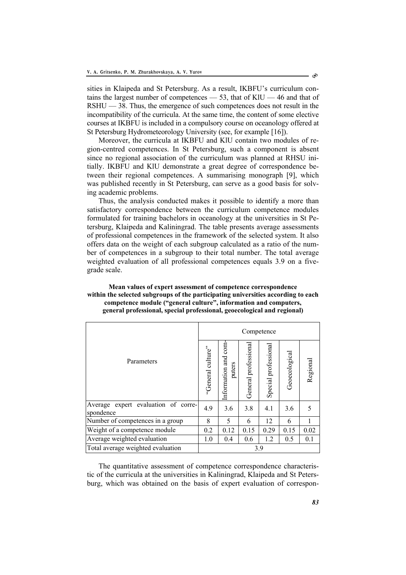sities in Klaipeda and St Petersburg. As a result, IKBFU's curriculum contains the largest number of competences  $-53$ , that of KlU  $-46$  and that of RSHU — 38. Thus, the emergence of such competences does not result in the incompatibility of the curricula. At the same time, the content of some elective courses at IKBFU is included in a compulsory course on oceanology offered at St Petersburg Hydrometeorology University (see, for example [16]).

Moreover, the curricula at IKBFU and KlU contain two modules of region-centred competences. In St Petersburg, such a component is absent since no regional association of the curriculum was planned at RHSU initially. IKBFU and KlU demonstrate a great degree of correspondence between their regional competences. A summarising monograph [9], which was published recently in St Petersburg, can serve as a good basis for solving academic problems.

Thus, the analysis conducted makes it possible to identify a more than satisfactory correspondence between the curriculum competence modules formulated for training bachelors in oceanology at the universities in St Petersburg, Klaipeda and Kaliningrad. The table presents average assessments of professional competences in the framework of the selected system. It also offers data on the weight of each subgroup calculated as a ratio of the number of competences in a subgroup to their total number. The total average weighted evaluation of all professional competences equals 3.9 on a fivegrade scale.

# **Mean values of expert assessment of competence correspondence within the selected subgroups of the participating universities according to each competence module ("general culture", information and computers, general professional, special professional, geoecological and regional)**

|                                                  | Competence           |                                |                      |                      |               |          |
|--------------------------------------------------|----------------------|--------------------------------|----------------------|----------------------|---------------|----------|
| Parameters                                       | culture"<br>'General | Information and com-<br>puters | General professional | Special professional | Geoecological | Regional |
| Average expert evaluation of corre-<br>spondence | 4.9                  | 3.6                            | 3.8                  | 4.1                  | 3.6           | 5        |
| Number of competences in a group                 | 8                    | 5                              | 6                    | 12                   | 6             |          |
| Weight of a competence module                    | 0.2                  | 0.12                           | 0.15                 | 0.29                 | 0.15          | 0.02     |
| Average weighted evaluation                      | 1.0                  | 0.4                            | 0.6                  | 1.2                  | 0.5           | 0.1      |
| Total average weighted evaluation                | 3.9                  |                                |                      |                      |               |          |

The quantitative assessment of competence correspondence characteristic of the curricula at the universities in Kaliningrad, Klaipeda and St Petersburg, which was obtained on the basis of expert evaluation of correspon-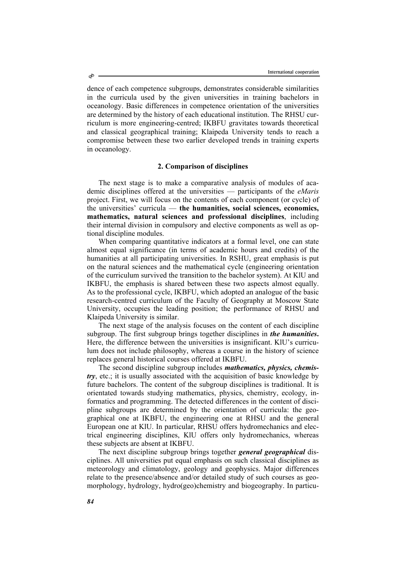dence of each competence subgroups, demonstrates considerable similarities in the curricula used by the given universities in training bachelors in oceanology. Basic differences in competence orientation of the universities are determined by the history of each educational institution. The RHSU curriculum is more engineering-centred; IKBFU gravitates towards theoretical and classical geographical training; Klaipeda University tends to reach a compromise between these two earlier developed trends in training experts in oceanology.

## **2. Comparison of disciplines**

The next stage is to make a comparative analysis of modules of academic disciplines offered at the universities — participants of the *eMaris* project. First, we will focus on the contents of each component (or cycle) of the universities' curricula — **the humanities, social sciences, economics, mathematics, natural sciences and professional disciplines**, including their internal division in compulsory and elective components as well as optional discipline modules.

When comparing quantitative indicators at a formal level, one can state almost equal significance (in terms of academic hours and credits) of the humanities at all participating universities. In RSHU, great emphasis is put on the natural sciences and the mathematical cycle (engineering orientation of the curriculum survived the transition to the bachelor system). At KlU and IKBFU, the emphasis is shared between these two aspects almost equally. As to the professional cycle, IKBFU, which adopted an analogue of the basic research-centred curriculum of the Faculty of Geography at Moscow State University, occupies the leading position; the performance of RHSU and Klaipeda University is similar.

The next stage of the analysis focuses on the content of each discipline subgroup. The first subgroup brings together disciplines in *the humanities***.**  Here, the difference between the universities is insignificant. KlU's curriculum does not include philosophy, whereas a course in the history of science replaces general historical courses offered at IKBFU.

The second discipline subgroup includes *mathematics, physics, chemistry*, etc.; it is usually associated with the acquisition of basic knowledge by future bachelors. The content of the subgroup disciplines is traditional. It is orientated towards studying mathematics, physics, chemistry, ecology, informatics and programming. The detected differences in the content of discipline subgroups are determined by the orientation of curricula: the geographical one at IKBFU, the engineering one at RHSU and the general European one at KlU. In particular, RHSU offers hydromechanics and electrical engineering disciplines, KlU offers only hydromechanics, whereas these subjects are absent at IKBFU.

The next discipline subgroup brings together *general geographical* disciplines. All universities put equal emphasis on such classical disciplines as meteorology and climatology, geology and geophysics. Major differences relate to the presence/absence and/or detailed study of such courses as geomorphology, hydrology, hydro(geo)chemistry and biogeography. In particu-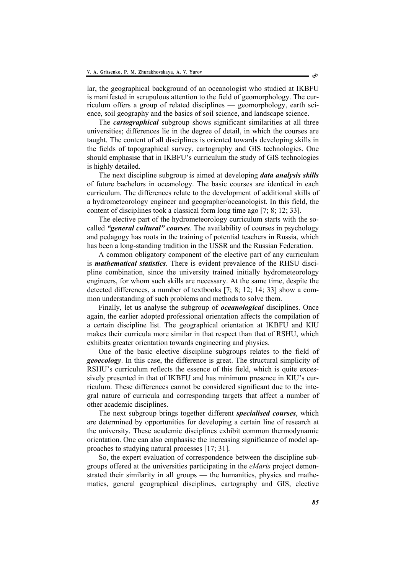lar, the geographical background of an oceanologist who studied at IKBFU is manifested in scrupulous attention to the field of geomorphology. The curriculum offers a group of related disciplines — geomorphology, earth science, soil geography and the basics of soil science, and landscape science.

The *cartographical* subgroup shows significant similarities at all three universities; differences lie in the degree of detail, in which the courses are taught. The content of all disciplines is oriented towards developing skills in the fields of topographical survey, cartography and GIS technologies. One should emphasise that in IKBFU's curriculum the study of GIS technologies is highly detailed.

The next discipline subgroup is aimed at developing *data analysis skills* of future bachelors in oceanology. The basic courses are identical in each curriculum. The differences relate to the development of additional skills of a hydrometeorology engineer and geographer/oceanologist. In this field, the content of disciplines took a classical form long time ago [7; 8; 12; 33].

The elective part of the hydrometeorology curriculum starts with the socalled *"general cultural" courses*. The availability of courses in psychology and pedagogy has roots in the training of potential teachers in Russia, which has been a long-standing tradition in the USSR and the Russian Federation.

A common obligatory component of the elective part of any curriculum is *mathematical statistics*. There is evident prevalence of the RHSU discipline combination, since the university trained initially hydrometeorology engineers, for whom such skills are necessary. At the same time, despite the detected differences, a number of textbooks [7; 8; 12; 14; 33] show a common understanding of such problems and methods to solve them.

Finally, let us analyse the subgroup of *oceanological* disciplines. Once again, the earlier adopted professional orientation affects the compilation of a certain discipline list. The geographical orientation at IKBFU and KlU makes their curricula more similar in that respect than that of RSHU, which exhibits greater orientation towards engineering and physics.

One of the basic elective discipline subgroups relates to the field of *geoecology*. In this case, the difference is great. The structural simplicity of RSHU's curriculum reflects the essence of this field, which is quite excessively presented in that of IKBFU and has minimum presence in KlU's curriculum. These differences cannot be considered significant due to the integral nature of curricula and corresponding targets that affect a number of other academic disciplines.

The next subgroup brings together different *specialised courses*, which are determined by opportunities for developing a certain line of research at the university. These academic disciplines exhibit common thermodynamic orientation. One can also emphasise the increasing significance of model approaches to studying natural processes [17; 31].

So, the expert evaluation of correspondence between the discipline subgroups offered at the universities participating in the *eMaris* project demonstrated their similarity in all groups — the humanities, physics and mathematics, general geographical disciplines, cartography and GIS, elective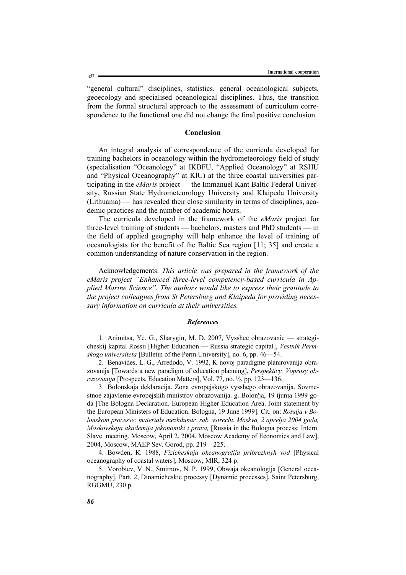"general cultural" disciplines, statistics, general oceanological subjects, geoecology and specialised oceanological disciplines. Thus, the transition from the formal structural approach to the assessment of curriculum correspondence to the functional one did not change the final positive conclusion.

## **Conclusion**

An integral analysis of correspondence of the curricula developed for training bachelors in oceanology within the hydrometeorology field of study (specialisation "Oceanology" at IKBFU, "Applied Oceanology" at RSHU and "Physical Oceanography" at KlU) at the three coastal universities participating in the *eMaris* project — the Immanuel Kant Baltic Federal University, Russian State Hydrometeorology University and Klaipeda University (Lithuania) — has revealed their close similarity in terms of disciplines, academic practices and the number of academic hours.

The curricula developed in the framework of the *eMaris* project for three-level training of students — bachelors, masters and PhD students — in the field of applied geography will help enhance the level of training of oceanologists for the benefit of the Baltic Sea region [11; 35] and create a common understanding of nature conservation in the region.

Acknowledgements. *This article was prepared in the framework of the eMaris project "Enhanced three-level competency-based curricula in Applied Marine Science". The authors would like to express their gratitude to the project colleagues from St Petersburg and Klaipeda for providing necessary information on curricula at their universities.* 

#### *References*

1. Animitsa, Ye. G., Sharygin, M. D. 2007, Vysshee obrazovanie — strategicheskij kapital Rossii [Higher Education — Russia strategic capital], *Vestnik Permskogo universiteta* [Bulletin of the Perm University], no. 6, pp. 46—54.

2. Benavides, L. G., Arredodo, V. 1992, K novoj paradigme planirovanija obrazovanija [Towards a new paradigm of education planning], *Perspektivy. Voprosy obrazovanija* [Prospects. Education Matters], Vol. 77, no. ½, pp. 123—136.

3. Bolonskaja deklaracija. Zona evropejskogo vysshego obrazovanija. Sovmestnoe zajavlenie evropejskih ministrov obrazovanija. g. Bolon'ja, 19 ijunja 1999 goda [The Bologna Declaration. European Higher Education Area. Joint statement by the European Ministers of Education. Bologna, 19 June 1999]. Cit. on: *Rossija v Bolonskom processe: materialy mezhdunar. rab. vstrechi. Moskva, 2 aprelja 2004 goda, Moskovskaja akademija jekonomiki i prava,* [Russia in the Bologna process: Intern. Slave. meeting. Moscow, April 2, 2004, Moscow Academy of Economics and Law], 2004, Moscow, MAEP Sev. Gorod, pp. 219—225.

4. Bowden, К. 1988, *Fizicheskaja okeanografija pribrezhnyh vod* [Physical oceanography of coastal waters], Moscow, MIR, 324 p.

5. Vorobiev, V. N., Smirnov, N. P. 1999, Obwaja okeanologija [General oceanography], Part. 2, Dinamicheskie processy [Dynamic processes], Saint Petersburg, RGGMU, 230 p.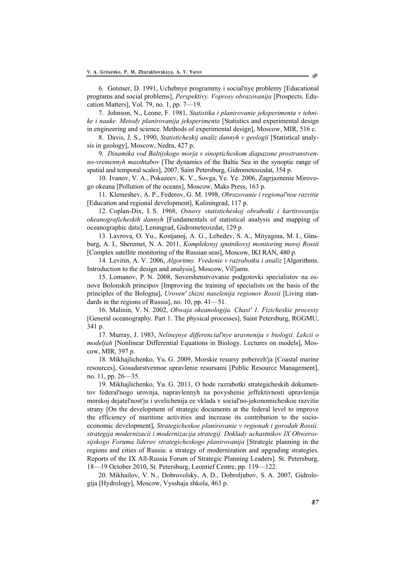6. Gotstser, D. 1991, Uchebnye programmy i social'nye problemy [Educational programs and social problems], *Perspektivy. Voprosy obrazovanija* [Prospects. Education Matters], Vol. 79, no. 1, pp. 7—19.

7. Johnson, N., Leone, F. 1981, *Statistika i planirovanie jeksperimenta v tehnike i nauke. Metody planirovanija jeksperimenta* [Statistics and experimental design in engineering and science. Methods of experimental design], Moscow, MIR, 516 с.

8. Davis, J. S., 1990, *Statisticheskij analiz dannyh v geologii* [Statistical analysis in geology], Moscow, Nedra, 427 p.

9. *Dinamika vod Baltijskogo morja v sinopticheskom diapazone prostranstvenno-vremennyh masshtabov* [The dynamics of the Baltic Sea in the synoptic range of spatial and temporal scales], 2007, Saint Petersburg, Gidrometeoizdat, 354 p.

10. Ivanov, V. A., Pokazeev, K. V., Sovga, Ye. Ye. 2006, Zagrjaznenie Mirovogo okeana [Pollution of the oceans], Moscow, Maks Press, 163 p.

11. Klemeshev, A. P., Federov, G. М. 1998, *Obrazovanie i regional'noe razvitie* [Education and regional development], Kaliningrad, 117 p.

12. Coplan-Dix, I. S. 1968, *Osnovy statisticheskoj obrabotki i kartirovanija okeanograficheskih dannyh* [Fundamentals of statistical analysis and mapping of oceanographic data], Leningrad, Gidrometeoizdat, 129 p.

13. Lavrova, О. Yu., Kostjanoj, А. G., Lebedev, S. А., Mityagina, M. I., Ginsburg, А. I., Sheremet, N. А. 2011, *Kompleksnyj sputnikovyj monitoring morej Rossii* [Complex satellite monitoring of the Russian seas], Moscow, IKI RAN, 480 p.

14. Levitin, А. V. 2006, *Algoritmy. Vvedenie v razrabotku i analiz* [Algorithms. Introduction to the design and analysis], Moscow, Vil'jams.

15. Lomanov, P. N. 2008, Sovershenstvovanie podgotovki specialistov na osnove Bolonskih principov [Improving the training of specialists on the basis of the principles of the Bologna], *Uroven' zhizni naselenija regionov Rossii* [Living standards in the regions of Russia], no. 10, pp. 41—51.

16. Malinin, V. N. 2002, *Obwaja okeanologija. Chast' 1. Fizicheskie processy* [General oceanography. Part 1. The physical processes], Saint Petersburg, RGGMU, 341 p.

17. Murray, J. 1983, *Nelinejnye differencial'nye uravnenija v biologii. Lekcii o modeljah* [Nonlinear Differential Equations in Biology. Lectures on models], Moscow, MIR, 397 p.

18. Mikhajlichenko, Yu. G. 2009, Morskie resursy poberezh'ja [Coastal marine resources], Gosudarstvennoe upravlenie resursami [Public Resource Management], no. 11, pp. 26—35.

19. Mikhajlichenko, Yu. G. 2011, O hode razrabotki strategicheskih dokumentov federal'nogo urovnja, napravlennyh na povyshenie jeffektivnosti upravlenija morskoj dejatel'nost'ju i uvelichenija ee vklada v social'no-jekonomicheskoe razvitie strany [On the development of strategic documents at the federal level to improve the efficiency of maritime activities and increase its contribution to the socioeconomic development], *Strategicheskoe planirovanie v regionah i gorodah Rossii: strategija modernizacii i modernizacija strategij. Doklady uchastnikov IX Obwerossijskogo Foruma liderov strategicheskogo planirovanija* [Strategic planning in the regions and cities of Russia: a strategy of modernization and upgrading strategies. Reports of the IX All-Russia Forum of Strategic Planning Leaders]. St. Petersburg, 18—19 October 2010, St. Petersburg, Leontief Centre, pp. 119—122.

20. Mikhailov, V. N., Dobrovolsky, А. D., Dobroljubov, S. А. 2007, Gidrologija [Hydrology], Moscow, Vysshaja shkola, 463 p.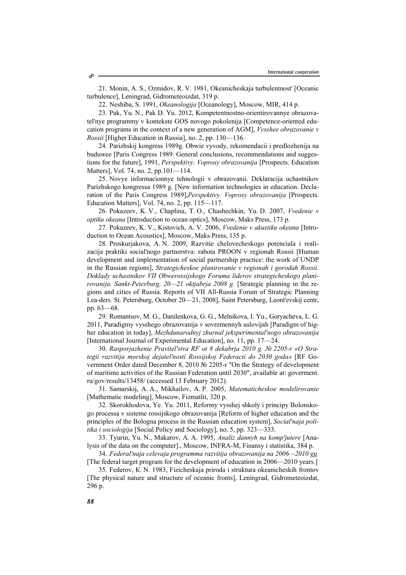21. Monin, А. S., Ozmidov, R. V. 1981, Okeanicheskaja turbulentnost' [Oceanic turbulence], Leningrad, Gidrometeoizdat, 319 p.

22. Neshiba, S. 1991, *Okeanologija* [Oceanology], Moscow, MIR, 414 p.

23. Pak, Yu. N., Pak D. Yu. 2012, Kompetentnostno-orientirovannye obrazovatel'nye programmy v kontekste GOS novogo pokolenija [Competence-oriented education programs in the context of a new generation of AGM], *Vysshee obrazovanie v Rossii* [Higher Education in Russia], no. 2, pp. 130—136.

24. Parizhskij kongress 1989g. Obwie vyvody, rekomendacii i predlozhenija na buduwee [Paris Congress 1989. General conclusions, recommendations and suggestions for the future], 1991, *Perspektivy. Voprosy obrazovanija* [Prospects. Education Matters], Vol. 74, no. 2, pp.101—114.

25. Novye informacionnye tehnologii v obrazovanii. Deklaracija uchastnikov Parizhskogo kongressa 1989 g. [New information technologies in education. Declaration of the Paris Congress 1989],*Perspektivy. Voprosy obrazovanija* [Prospects. Education Matters], Vol. 74, no. 2, pp. 115—117.

26. Pokazeev, K. V., Chaplina, T. О., Chashechkin, Yu. D. 2007, *Vvedenie v optiku okeana* [Introduction to ocean optics], Moscow, Maks Press, 173 p.

27. Pokazeev, K. V., Kistovich, А. V. 2006, *Vvedenie v akustiku okeana* [Introduction to Ocean Acoustics], Moscow, Maks Press, 135 p.

28. Proskurjakova, А. N. 2009, Razvitie chelovecheskogo potenciala i realizacija praktiki social'nogo partnerstva: rabota PROON v regionah Rossii [Human development and implementation of social partnership practice: the work of UNDP in the Russian regions], *Strategicheskoe planirovanie v regionah i gorodah Rossii. Doklady uchastnikov VII Obwerossijskogo Foruma liderov strategicheskogo planirovanija. Sankt-Peterburg, 20—21 oktjabrja 2008 g.* [Strategic planning in the regions and cities of Russia. Reports of VII All-Russia Forum of Strategic Planning Lea-ders. St. Petersburg, October 20—21, 2008], Saint Petersburg, Leont'evskij centr, pp. 63—68.

29. Romantsov, М. G., Danilenkova, G. G., Melnikova, I. Yu., Goryacheva, L. G. 2011, Paradigmy vysshego obrazovanija v sovremennyh uslovijah [Paradigm of higher education in today], *Mezhdunarodnyj zhurnal jeksperimental'nogo obrazovanija* [International Journal of Experimental Education], no. 11, pp. 17—24.

30. *Rasporjazhenie Pravitel'stva RF ot 8 dekabrja 2010 g. № 2205-r «O Strategii razvitija morskoj dejatel'nosti Rossijskoj Federacii do 2030 goda»* [RF Government Order dated December 8, 2010 № 2205-r "On the Strategy of development of maritime activities of the Russian Federation until 2030", available at: goverment. ru/gov/results/13458/ (accessed 13 February 2012).

31. Samarskij, А. А., Mikhailov, А. P. 2005, *Matematicheskoe modelirovanie* [Mathematic modeling], Moscow, Fizmatlit, 320 p.

32. Skorokhodova, Ye. Yu. 2011, Reformy vysshej shkoly i principy Bolonskogo processa v sisteme rossijskogo obrazovanija [Reform of higher education and the principles of the Bologna process in the Russian education system], *Social'naja politika i sociologija* [Social Policy and Sociology], no. 5, pp. 323—333.

33. Tyurin, Yu. N., Makarov, А. А. 1995, *Analiz dannyh na komp'jutere* [Analysis of the data on the computer]., Moscow, INFRA-M, Finansy i statistika, 384 p.

34. *Federal'naja celevaja programma razvitija obrazovanija na 2006—2010 gg.* [The federal target program for the development of education in 2006—2010 years.]

35. Federov, К. N. 1983, Fizicheskaja priroda i struktura okeanicheskih frontov [The physical nature and structure of oceanic fronts], Leningrad, Gidrometeoizdat, 296 p.

S